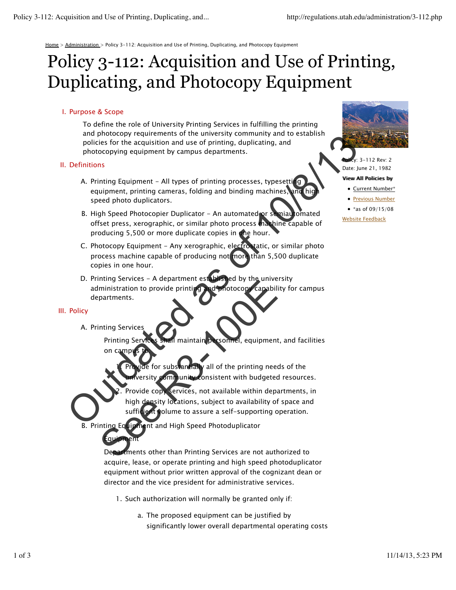Home > Administration > Policy 3-112: Acquisition and Use of Printing, Duplicating, and Photocopy Equipment

# Policy 3-112: Acquisition and Use of Printing, Duplicating, and Photocopy Equipment

### I. Purpose & Scope

To define the role of University Printing Services in fulfilling the printing and photocopy requirements of the university community and to establish policies for the acquisition and use of printing, duplicating, and photocopying equipment by campus departments.

#### II. Definitions

- A. Printing Equipment All types of printing processes, typesetti**n**g equipment, printing cameras, folding and binding machines, and high speed photo duplicators.
- B. High Speed Photocopier Duplicator An automated or semiautomated offset press, xerographic, or similar photo process machine capable of producing 5,500 or more duplicate copies in the hour.
- C. Photocopy Equipment Any xerographic, electrostatic, or similar photo process machine capable of producing not more than 5,500 duplicate copies in one hour.
- D. Printing Services A department established by the university administration to provide printing and photocopy capability for campus departments. an photocopy requirements of the university continuity and the principal continuity and a photocopying equipment by campus departments.<br>
Definitions<br>
A. Printing Equipment - All types of printing processes, typesettic wher

#### III. Policy

A. Printing Services

 $\mathsf{F}$ qu

Printing Services shall maintain personnel, equipment, and facilities on campus

for substantially all of the printing needs of the ommunity consistent with budgeted resources. 1.

Provide copy services, not available within departments, in high density locations, subject to availability of space and sufficient volume to assure a self-supporting operation. 2. The Services of the United States of the United States of the United States of the United States of the United States of the Solite Company on campus Services and U.S. Provide for substantial and High Journal on Sistem Uni

B. Printing Equipment and High Speed Photoduplicator

Departments other than Printing Services are not authorized to acquire, lease, or operate printing and high speed photoduplicator equipment without prior written approval of the cognizant dean or director and the vice president for administrative services.

- 1. Such authorization will normally be granted only if:
	- The proposed equipment can be justified by a. significantly lower overall departmental operating costs



,<br>v: 3–112 Rev: 2 Date: June 21, 1982

#### Viiew Alll Polliciies by

• Current Number\*

**• Previous Number** 

• \*as of  $09/15/08$ 

Website Feedback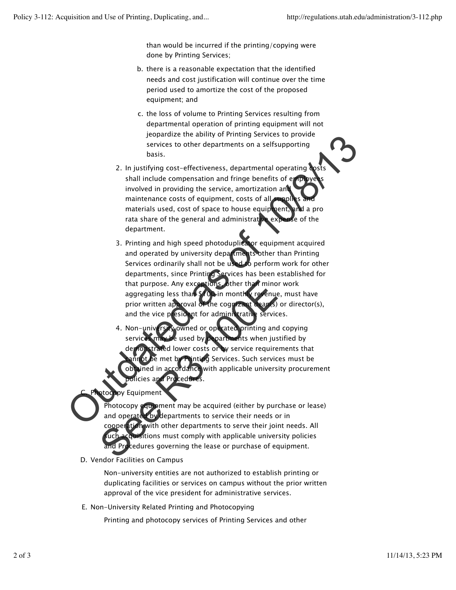than would be incurred if the printing/copying were done by Printing Services;

- b. there is a reasonable expectation that the identified needs and cost justification will continue over the time period used to amortize the cost of the proposed equipment; and
- c. the loss of volume to Printing Services resulting from departmental operation of printing equipment will not jeopardize the ability of Printing Services to provide services to other departments on a selfsupporting basis.
- 2. In justifying cost-effectiveness, departmental operating costs shall include compensation and fringe benefits of emp involved in providing the service, amortization and maintenance costs of equipment, costs of all materials used, cost of space to house equipment, and a pro rata share of the general and administrative  $ex<sub>k</sub>$ department.
- 3. Printing and high speed photoduplicator equipment acquired and operated by university departments other than Printing Services ordinarily shall not be used to perform work for other departments, since Printing Services has been established for that purpose. Any exceptions, other than minor work aggregating less than \$100 in monthly revenue, must have prior written approval of the cognizant dean(s) or director(s), and the vice president for administrative services. services to the departments on a selfsupporting<br>services to other departments on a selfsupporting<br>basis.<br>2. In justifying cost-effectiveness, departmental operating weaks<br>involved in providing the service, amortization and
	- ated printing and copying services may be used by departments when justified by demonstrated lower costs or by service requirements that be met by Printing Services. Such services must be ined in accordance with applicable university procurement cies and Procedur 4. Non-university owned or ope that purpose. Any exceptions where the minor aggregating less than \$10 am month revenue prior written approval of the cognizant deants) and the vice president for administrative service.<br>
	4. Non-univ revenue or operated pr
	- Equipment C.

Photocopy equipment may be acquired (either by purchase or lease) and operated by departments to service their needs or in cooperation with other departments to serve their joint needs. All cquisitions must comply with applicable university policies and Procedures governing the lease or purchase of equipment.

D. Vendor Facilities on Campus

Non-university entities are not authorized to establish printing or duplicating facilities or services on campus without the prior written approval of the vice president for administrative services.

Non-University Related Printing and Photocopying E.

Printing and photocopy services of Printing Services and other